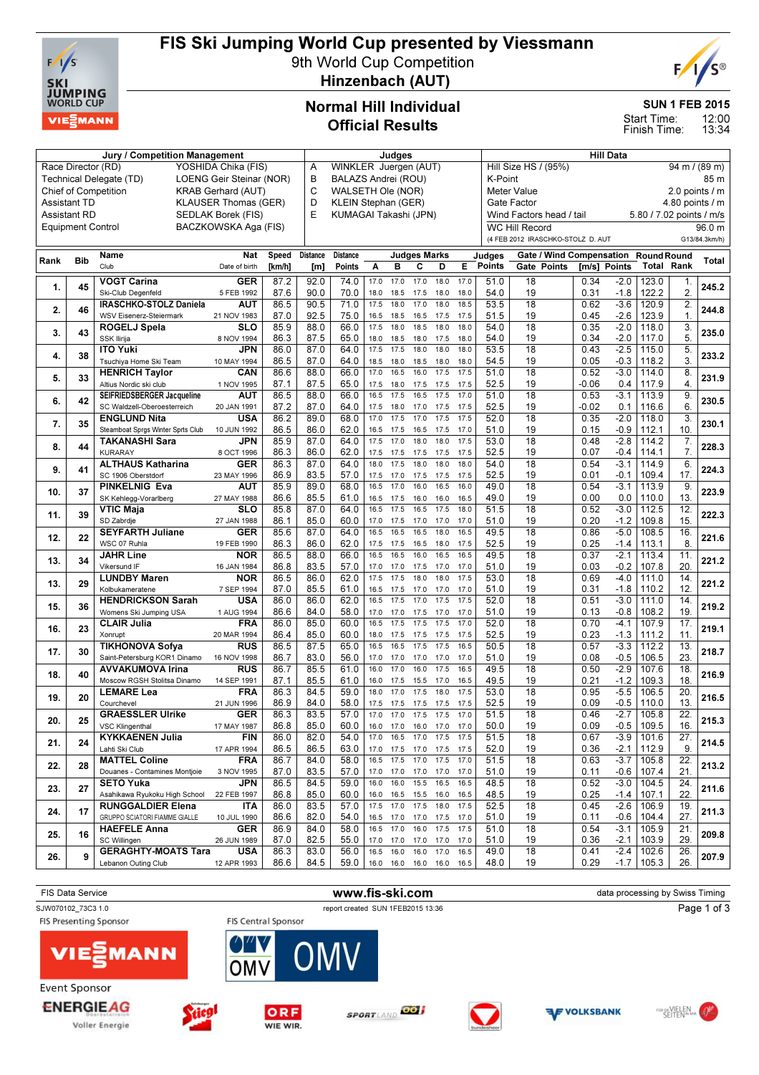

Voller Energie

## FIS Ski Jumping World Cup presented by Viessmann

9th World Cup Competition Hinzenbach (AUT)



SUN 1 FEB 2015

12:00 13:34 Start Time: Finish Time:

#### Normal Hill Individual Official Results

|                                                          | Judges                   |                                   |                      |        |                            |                       |              | <b>Hill Data</b> |                     |                          |                                                                 |                               |                                                      |                                      |              |                  |                   |                   |               |
|----------------------------------------------------------|--------------------------|-----------------------------------|----------------------|--------|----------------------------|-----------------------|--------------|------------------|---------------------|--------------------------|-----------------------------------------------------------------|-------------------------------|------------------------------------------------------|--------------------------------------|--------------|------------------|-------------------|-------------------|---------------|
| YOSHIDA Chika (FIS)<br>Race Director (RD)                |                          |                                   |                      |        | WINKLER Juergen (AUT)<br>Α |                       |              |                  |                     |                          | $\frac{94 \text{ m}}{1 (89 \text{ m})}$<br>Hill Size HS / (95%) |                               |                                                      |                                      |              |                  |                   |                   |               |
| Technical Delegate (TD)<br>LOENG Geir Steinar (NOR)      |                          |                                   |                      | B      | BALAZS Andrei (ROU)        |                       |              |                  |                     |                          |                                                                 | K-Point<br>85 m               |                                                      |                                      |              |                  |                   |                   |               |
| <b>Chief of Competition</b><br><b>KRAB Gerhard (AUT)</b> |                          |                                   |                      |        | C                          | WALSETH Ole (NOR)     |              |                  |                     |                          |                                                                 | 2.0 points / m<br>Meter Value |                                                      |                                      |              |                  |                   |                   |               |
| <b>Assistant TD</b><br><b>KLAUSER Thomas (GER)</b>       |                          |                                   |                      |        | D<br>KLEIN Stephan (GER)   |                       |              |                  |                     |                          | Gate Factor<br>4.80 points / m                                  |                               |                                                      |                                      |              |                  |                   |                   |               |
|                                                          | <b>Assistant RD</b>      |                                   | SEDLAK Borek (FIS)   |        | E                          | KUMAGAI Takashi (JPN) |              |                  |                     |                          |                                                                 |                               | Wind Factors head / tail<br>5.80 / 7.02 points / m/s |                                      |              |                  |                   |                   |               |
|                                                          | <b>Equipment Control</b> |                                   | BACZKOWSKA Aga (FIS) |        |                            |                       |              |                  |                     |                          |                                                                 |                               | <b>WC Hill Record</b>                                |                                      |              |                  |                   |                   | 96.0 m        |
|                                                          |                          |                                   |                      |        |                            |                       |              |                  |                     |                          |                                                                 |                               | (4 FEB 2012 IRASCHKO-STOLZ D. AUT                    |                                      |              |                  |                   |                   | G13/84.3km/h) |
|                                                          |                          |                                   |                      |        |                            |                       |              |                  |                     |                          |                                                                 |                               |                                                      |                                      |              |                  |                   |                   |               |
| Rank                                                     | <b>Bib</b>               | Name                              | Nat                  | Speed  | Distance                   | <b>Distance</b>       |              |                  | <b>Judges Marks</b> |                          |                                                                 | Judges                        |                                                      | Gate / Wind Compensation Round Round |              |                  |                   |                   | Total         |
|                                                          |                          | Club                              | Date of birth        | [km/h] | [m]                        | Points                | Α            | в                | с                   | D                        | Е                                                               | <b>Points</b>                 | Gate Points                                          |                                      |              | [m/s] Points     | <b>Total Rank</b> |                   |               |
|                                                          |                          | <b>VOGT Carina</b>                | <b>GER</b>           | 87.2   | 92.0                       | 74.0                  | 17.0         | 17.0             | 17.0                | 18.0                     | 17.0                                                            | 51.0                          | 18                                                   |                                      | 0.34         | $-2.0$           | 123.0             | 1.                |               |
| 1.                                                       | 45                       | Ski-Club Degenfeld                | 5 FEB 1992           | 87.6   | 90.0                       | 70.0                  | 18.0         | 18.5             | 17.5                | 18.0                     | 18.0                                                            | 54.0                          | 19                                                   |                                      | 0.31         | $-1.8$           | 122.2             | 2.                | 245.2         |
|                                                          |                          | <b>IRASCHKO-STOLZ Daniela</b>     | <b>AUT</b>           | 86.5   | 90.5                       | 71.0                  | 17.5         | 18.0             | 17.0                | 18.0                     | 18.5                                                            | 53.5                          | $\overline{18}$                                      |                                      | 0.62         | $-3.6$           | 120.9             | 2.                |               |
| 2.                                                       | 46                       | WSV Eisenerz-Steiermark           | 21 NOV 1983          | 87.0   | 92.5                       | 75.0                  | 16.5         | 18.5             | 16.5                | 17.5                     | 17.5                                                            | 51.5                          | 19                                                   |                                      | 0.45         | $-2.6$           | 123.9             | 1.                | 244.8         |
|                                                          |                          | ROGELJ Spela                      | <b>SLO</b>           | 85.9   | 88.0                       | 66.0                  | 17.5         | 18.0             | 18.5                | 18.0                     | 18.0                                                            | 54.0                          | 18                                                   |                                      | 0.35         | $-2.0$           | 118.0             | 3.                |               |
| 3.                                                       | 43                       | SSK Ilirija                       | 8 NOV 1994           | 86.3   | 87.5                       | 65.0                  | 18.0         | 18.5             | 18.0                | 17.5                     | 18.0                                                            | 54.0                          | 19                                                   |                                      | 0.34         | $-2.0$           | 117.0             | 5.                | 235.0         |
|                                                          |                          | <b>ITO Yuki</b>                   | <b>JPN</b>           | 86.0   | 87.0                       | 64.0                  | 17.5         | 17.5             | 18.0                | 18.0                     | 18.0                                                            | 53.5                          | $\overline{18}$                                      |                                      | 0.43         | $-2.5$           | 115.0             | 5.                |               |
| 4.                                                       | 38                       | Tsuchiya Home Ski Team            | 10 MAY 1994          | 86.5   | 87.0                       | 64.0                  | 18.5         | 18.0             | 18.5                | 18.0                     | 18.0                                                            | 54.5                          | 19                                                   |                                      | 0.05         | $-0.3$           | 118.2             | 3.                | 233.2         |
|                                                          |                          | <b>HENRICH Taylor</b>             | CAN                  | 86.6   | 88.0                       | 66.0                  | 17.0         | 16.5             | 16.0                | 17.5                     | 17.5                                                            | 51.0                          | 18                                                   |                                      | 0.52         | $-3.0$           | 114.0             | 8.                |               |
| 5.                                                       | 33                       | Altius Nordic ski club            | 1 NOV 1995           | 87.1   | 87.5                       | 65.0                  | 17.5         | 18.0             | 17.5                | 17.5                     | 17.5                                                            | 52.5                          | 19                                                   |                                      | $-0.06$      | 0.4              | 117.9             | 4.                | 231.9         |
|                                                          |                          | SEIFRIEDSBERGER Jacqueline        | <b>AUT</b>           | 86.5   | 88.0                       | 66.0                  | 16.5         | 17.5             | 16.5                | 17.5                     | 17.0                                                            | 51.0                          | 18                                                   |                                      | 0.53         | $-3.1$           | 113.9             | 9.                |               |
| 6.                                                       | 42                       | SC Waldzell-Oberoesterreich       | 20 JAN 1991          | 87.2   | 87.0                       | 64.0                  | 17.5         | 18.0             | 17.0                | 17.5                     | 17.5                                                            | 52.5                          | 19                                                   |                                      | $-0.02$      | 0.1              | 116.6             | 6                 | 230.5         |
|                                                          |                          | <b>ENGLUND Nita</b>               | <b>USA</b>           | 86.2   | 89.0                       | 68.0                  | 17.0         | 17.5             | 17.0                | 17.5                     | 17.5                                                            | 52.0                          | $\overline{18}$                                      |                                      | 0.35         | $-2.0$           | 118.0             | 3.                |               |
| 7.                                                       | 35                       | Steamboat Sprgs Winter Sprts Club | 10 JUN 1992          | 86.5   | 86.0                       | 62.0                  | 16.5         | 17.5             | 16.5                | 17.5                     | 17.0                                                            | 51.0                          | 19                                                   |                                      | 0.15         | $-0.9$           | 112.1             | 10.               | 230.1         |
|                                                          |                          | <b>TAKANASHI Sara</b>             | <b>JPN</b>           | 85.9   | 87.0                       | 64.0                  | 17.5         | 17.0             | 18.0                | 18.0                     | 17.5                                                            | 53.0                          | 18                                                   |                                      | 0.48         | $-2.8$           | 114.2             | 7.                |               |
| 8.                                                       | 44                       | <b>KURARAY</b>                    | 8 OCT 1996           | 86.3   | 86.0                       | 62.0                  | 17.5         | 17.5             | 17.5                | 17.5                     | 17.5                                                            | 52.5                          | 19                                                   |                                      | 0.07         | $-0.4$           | 114.1             | 7.                | 228.3         |
|                                                          |                          | <b>ALTHAUS Katharina</b>          | GER                  | 86.3   | 87.0                       | 64.0                  | 18.0         | 17.5             | 18.0                | 18.0                     | 18.0                                                            | 54.0                          | $\overline{18}$                                      |                                      | 0.54         | $-3.1$           | 114.9             | 6.                |               |
| 9.                                                       | 41                       | SC 1906 Oberstdorf                | 23 MAY 1996          | 86.9   | 83.5                       | 57.0                  | 17.5         | 17.0             | 17.5                | 17.5                     | 17.5                                                            | 52.5                          | 19                                                   |                                      | 0.01         | $-0.1$           | 109.4             | 17.               | 224.3         |
|                                                          |                          | <b>PINKELNIG Eva</b>              | <b>AUT</b>           | 85.9   | 89.0                       | 68.0                  | 16.5         | 17.0             | 16.0                | 16.5                     | 16.0                                                            | 49.0                          | $\overline{18}$                                      |                                      | 0.54         | $-3.1$           | 113.9             | 9.                |               |
| 10.                                                      | 37                       | SK Kehlegg-Vorarlberg             | 27 MAY 1988          | 86.6   | 85.5                       | 61.0                  | 16.5         | 17.5             |                     |                          | 16.5                                                            | 49.0                          | 19                                                   |                                      | 0.00         | 0.0              | 110.0             | 13.               | 223.9         |
|                                                          |                          | <b>VTIC Maja</b>                  | <b>SLO</b>           | 85.8   | 87.0                       | 64.0                  | 16.5         | 17.5             | 16.0<br>16.5        | 16.0<br>17.5             | 18.0                                                            | 51.5                          | $\overline{18}$                                      |                                      | 0.52         | $-3.0$           | 112.5             | 12.               |               |
| 11.                                                      | 39                       | SD Zabrdje                        | 27 JAN 1988          | 86.1   | 85.0                       | 60.0                  | 17.0         | 17.5             | 17.0                | 17.0                     | 17.0                                                            | 51.0                          | 19                                                   |                                      | 0.20         | $-1.2$           | 109.8             | 15.               | 222.3         |
|                                                          |                          | <b>SEYFARTH Juliane</b>           | GER                  | 85.6   | 87.0                       | 64.0                  | 16.5         | 16.5             | 16.5                | 18.0                     | 16.5                                                            | 49.5                          | $\overline{18}$                                      |                                      | 0.86         | $-5.0$           | 108.5             | 16.               |               |
| 12.                                                      | 22                       | WSC 07 Ruhla                      |                      |        |                            |                       |              |                  |                     |                          |                                                                 |                               | 19                                                   |                                      |              |                  |                   | 8.                | 221.6         |
|                                                          |                          |                                   | 19 FEB 1990          | 86.3   | 86.0                       | 62.0                  | 17.5<br>16.5 | 17.5<br>16.5     | 16.5<br>16.0        | 18.0<br>16.5             | 17.5<br>16.5                                                    | 52.5<br>49.5                  | $\overline{18}$                                      |                                      | 0.25<br>0.37 | $-1.4$<br>$-2.1$ | 113.1             | 11.               |               |
| 13.                                                      | 34                       | <b>JAHR Line</b><br>Vikersund IF  | <b>NOR</b>           | 86.5   | 88.0                       | 66.0                  |              |                  |                     |                          |                                                                 |                               | 19                                                   |                                      |              |                  | 113.4             | 20.               | 221.2         |
|                                                          |                          | <b>LUNDBY Maren</b>               | 16 JAN 1984          | 86.8   | 83.5                       | 57.0                  | 17.0<br>17.5 | 17.0             | 17.5<br>18.0        | 17.0<br>18.0             | 17.0<br>17.5                                                    | 51.0                          |                                                      |                                      | 0.03         | $-0.2$           | 107.8             |                   |               |
| 13.                                                      | 29                       |                                   | <b>NOR</b>           | 86.5   | 86.0                       | 62.0                  |              | 17.5             |                     |                          |                                                                 | 53.0                          | 18                                                   |                                      | 0.69         | $-4.0$           | 111.0             | 14.               | 221.2         |
|                                                          |                          | Kolbukameratene                   | 7 SEP 1994           | 87.0   | 85.5                       | 61.0                  | 16.5         | 17.5             | 17.0                | 17.0                     | 17.0                                                            | 51.0                          | 19                                                   |                                      | 0.31         | $-1.8$           | 110.2             | 12.               |               |
| 15.                                                      | 36                       | <b>HENDRICKSON Sarah</b>          | USA                  | 86.0   | 86.0                       | 62.0                  | 16.5         | 17.5             | 17.0                | 17.5                     | 17.5                                                            | 52.0                          | $\overline{18}$                                      |                                      | 0.51         | $-3.0$           | 111.0             | 14.               | 219.2         |
|                                                          |                          | Womens Ski Jumping USA            | 1 AUG 1994           | 86.6   | 84.0                       | 58.0                  | 17.0         | 17.0             | 17.5                | 17.0                     | 17.0                                                            | 51.0                          | 19                                                   |                                      | 0.13         | $-0.8$           | 108.2             | 19.               |               |
| 16.                                                      | 23                       | <b>CLAIR Julia</b>                | <b>FRA</b>           | 86.0   | 85.0                       | 60.0                  | 16.5         | 17.5             | 17.5                | 17.5                     | 17.0                                                            | 52.0                          | 18                                                   |                                      | 0.70         | $-4.1$           | 107.9             | 17.               | 219.1         |
|                                                          |                          | Xonrupt                           | 20 MAR 1994          | 86.4   | 85.0                       | 60.0                  | 18.0         | 17.5             | 17.5                | 17.5                     | 17.5                                                            | 52.5                          | 19                                                   |                                      | 0.23         | $-1.3$           | 111.2             | 11.               |               |
| 17.                                                      | 30                       | <b>TIKHONOVA Sofya</b>            | <b>RUS</b>           | 86.5   | 87.5                       | 65.0                  | 16.5         | 16.5             | 17.5                | 17.5                     | 16.5                                                            | 50.5                          | 18                                                   |                                      | 0.57         | $-3.3$           | 112.2             | 13.               | 218.7         |
|                                                          |                          | Saint-Petersburg KOR1 Dinamo      | 16 NOV 1998          | 86.7   | 83.0                       | 56.0                  | 17.0         | 17.0             | 17.0                | 17.0                     | 17.0                                                            | 51.0                          | 19                                                   |                                      | 0.08         | $-0.5$           | 106.5             | 23.               |               |
| 18.                                                      | 40                       | <b>AVVAKUMOVA Irina</b>           | <b>RUS</b>           | 86.7   | 85.5                       | 61.0                  | 16.0         | 17.0             | 16.0                | 17.5                     | 16.5                                                            | 49.5                          | $\overline{18}$                                      |                                      | 0.50         | $-2.9$           | 107.6             | $\overline{18}$   | 216.9         |
|                                                          |                          | Moscow RGSH Stolitsa Dinamo       | 14 SEP 1991          | 87.1   | 85.5                       | 61.0                  | 16.0         | 17.5             | 15.5                | 17.0                     | 16.5                                                            | 49.5                          | 19                                                   |                                      | 0.21         | $-1.2$           | 109.3             | 18.               |               |
| 19.                                                      | 20                       | <b>LEMARE Lea</b>                 | <b>FRA</b>           | 86.3   | 84.5                       | 59.0                  | 18.0         | 17.0             | 17.5                | 18.0                     | 17.5                                                            | 53.0                          | 18                                                   |                                      | 0.95         | $-5.5$           | 106.5             | 20.               | 216.5         |
|                                                          |                          | Courchevel                        | 21 JUN 1996          | 86.9   | 84.0                       | 58.0                  | 17.5         | 17.5             | 17.5                | 17.5                     | 17.5                                                            | 52.5                          | 19                                                   |                                      | 0.09         | $-0.5$           | 110.0             | 13.               |               |
| 20.                                                      | 25                       | <b>GRAESSLER Ulrike</b>           | <b>GER</b>           | 86.3   | 83.5                       | 57.0                  | 17.0         | 17.0             | 17.5                | 17.5                     | 17.0                                                            | 51.5                          | 18                                                   |                                      | 0.46         | $-2.7$           | 105.8             | $\overline{22}$   | 215.3         |
|                                                          |                          | VSC Klingenthal                   | 17 MAY 1987          | 86.8   | 85.0                       | 60.0                  | 16.0         | 17.0             | 16.0                | 17.0                     | 17.0                                                            | 50.0                          | 19                                                   |                                      | 0.09         | $-0.5$           | 109.5             | 16.               |               |
| 21.                                                      | 24                       | <b>KYKKAENEN Julia</b>            | <b>FIN</b>           | 86.0   | 82.0                       | 54.0                  | 17.0         |                  | 16.5 17.0           | 17.5                     | 17.5                                                            | 51.5                          | 18                                                   |                                      | 0.67         | $-3.9$           | 101.6             | 27.               | 214.5         |
|                                                          |                          | Lahti Ski Club                    | 17 APR 1994          | 86.5   | 86.5                       | 63.0                  | 17.0         | 17.5             | 17.0                | 17.5                     | 17.5                                                            | 52.0                          | 19                                                   |                                      | 0.36         | $-2.1$           | 112.9             | 9.                |               |
| 22.                                                      | 28                       | <b>MATTEL Coline</b>              | <b>FRA</b>           | 86.7   | 84.0                       | 58.0                  |              | 16.5 17.5        | 17.0 17.5           |                          | 17.0                                                            | 51.5                          | 18                                                   |                                      | 0.63         | $-3.7$           | 105.8             | 22.               | 213.2         |
|                                                          |                          | Douanes - Contamines Montjoie     | 3 NOV 1995           | 87.0   | 83.5                       | 57.0                  |              | 17.0 17.0        | 17.0 17.0           |                          | 17.0                                                            | 51.0                          | 19                                                   |                                      | 0.11         | -0.6             | 107.4             | 21.               |               |
| 23.                                                      | 27                       | <b>SETO Yuka</b>                  | JPN                  | 86.5   | 84.5                       | 59.0                  |              | 16.0 16.0        | 15.5                | 16.5                     | 16.5                                                            | 48.5                          | 18                                                   |                                      | 0.52         | $-3.0$           | 104.5             | $\overline{24}$ . | 211.6         |
|                                                          |                          | Asahikawa Ryukoku High School     | 22 FEB 1997          | 86.8   | 85.0                       | 60.0                  | 16.0         | 16.5             |                     | 15.5 16.0                | 16.5                                                            | 48.5                          | 19                                                   |                                      | 0.25         | $-1.4$           | 107.1             | 22.               |               |
| 24.                                                      | 17                       | <b>RUNGGALDIER Elena</b>          | <b>ITA</b>           | 86.0   | 83.5                       | 57.0                  |              | 17.5 17.0        | 17.5 18.0           |                          | 17.5                                                            | 52.5                          | 18                                                   |                                      | 0.45         | $-2.6$           | 106.9             | 19.               | 211.3         |
|                                                          |                          | GRUPPO SCIATORI FIAMME GIALLE     | 10 JUL 1990          | 86.6   | 82.0                       | 54.0                  |              | 16.5 17.0        |                     | 17.0 17.5 17.0           |                                                                 | 51.0                          | 19                                                   |                                      | 0.11         | -0.6             | 104.4             | 27.               |               |
| 25.                                                      | 16                       | <b>HAEFELE Anna</b>               | <b>GER</b>           | 86.9   | 84.0                       | 58.0                  |              | 16.5 17.0        |                     | 16.0 17.5                | 17.5                                                            | 51.0                          | 18                                                   |                                      | 0.54         | $-3.1$           | 105.9             | 21.               | 209.8         |
|                                                          |                          | SC Willingen                      | 26 JUN 1989          | 87.0   | 82.5                       | 55.0                  |              | 17.0 17.0        | 17.0                | 17.0                     | 17.0                                                            | 51.0                          | 19                                                   |                                      | 0.36         | $-2.1$           | 103.9             | 29.               |               |
| 26.                                                      | 9                        | <b>GERAGHTY-MOATS Tara</b>        | <b>USA</b>           | 86.3   | 83.0                       | 56.0                  | 16.5         | 16.0             |                     | 16.0 17.0                | 16.5                                                            | 49.0                          | 18                                                   |                                      | 0.41         | $-2.4$           | 102.6             | $\overline{26}$ . | 207.9         |
|                                                          |                          | Lebanon Outing Club               | 12 APR 1993          | 86.6   | 84.5                       | 59.0                  |              |                  |                     | 16.0 16.0 16.0 16.0 16.5 |                                                                 | 48.0                          | 19                                                   |                                      | 0.29         | $-1.7$           | 105.3             | 26.               |               |



WIE WIR.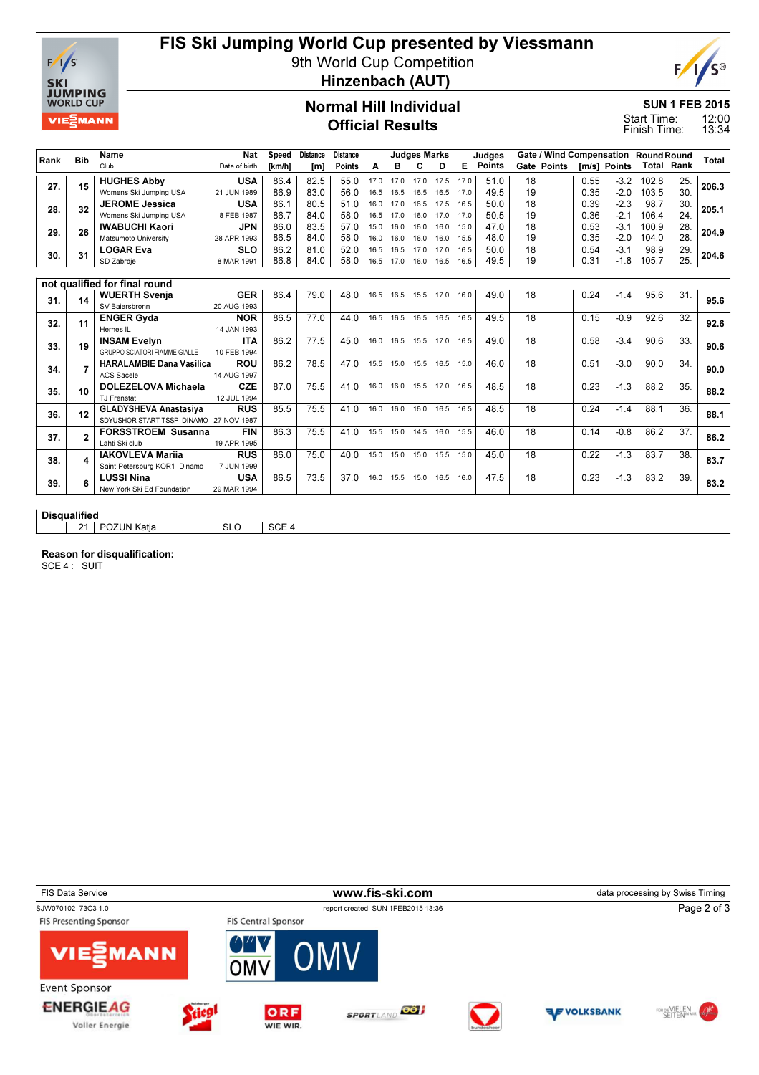

# FIS Ski Jumping World Cup presented by Viessmann

9th World Cup Competition



Hinzenbach (AUT)

#### Normal Hill Individual Official Results

SUN 1 FEB 2015

12:00 13:34 Start Time: Finish Time:

|      |                     | Name                                   | <b>Nat</b>                | Speed            | <b>Distance</b> | <b>Distance</b> |      |                              | <b>Judges Marks</b> |      |      | Judges        | Gate / Wind Compensation Round Round |      |              |                   |                 |       |
|------|---------------------|----------------------------------------|---------------------------|------------------|-----------------|-----------------|------|------------------------------|---------------------|------|------|---------------|--------------------------------------|------|--------------|-------------------|-----------------|-------|
| Rank | <b>Bib</b>          | Club                                   | Date of birth             | <b>Tkm/h1</b>    | [m]             | Points          | A    | в                            | c                   | D    | E    | <b>Points</b> | <b>Gate Points</b>                   |      | Im/s1 Points | <b>Total Rank</b> |                 | Total |
| 27.  | 15                  | <b>HUGHES Abby</b>                     | <b>USA</b>                | 86.4             | 82.5            | 55.0            | 17.0 | 17.0                         | 17.0                | 17.5 | 17.0 | 51.0          | 18                                   | 0.55 | $-3.2$       | 102.8             | 25.             | 206.3 |
|      |                     | Womens Ski Jumping USA                 | 21 JUN 1989               | 86.9             | 83.0            | 56.0            | 16.5 | 16.5                         | 16.5                | 16.5 | 17.0 | 49.5          | 19                                   | 0.35 | $-2.0$       | 103.5             | 30.             |       |
| 28.  | 32                  | <b>JEROME</b> Jessica                  | <b>USA</b>                | 86.1             | 80.5            | 51.0            | 16.0 | 17.0                         | 16.5 17.5           |      | 16.5 | 50.0          | $\overline{18}$                      | 0.39 | $-2.3$       | 98.7              | 30.             | 205.1 |
|      |                     | Womens Ski Jumping USA                 | 8 FEB 1987                | 86.7             | 84.0            | 58.0            | 16.5 | 17.0                         | 16.0                | 17.0 | 17.0 | 50.5          | 19                                   | 0.36 | $-2.1$       | 106.4             | 24.             |       |
| 29.  | 26                  | <b>IWABUCHI Kaori</b>                  | <b>JPN</b>                | 86.0             | 83.5            | 57.0            | 15.0 | 16.0                         | 16.0                | 16.0 | 15.0 | 47.0          | $\overline{18}$                      | 0.53 | $-3.1$       | 100.9             | 28.             | 204.9 |
|      |                     | Matsumoto University                   | 28 APR 1993               | 86.5             | 84.0            | 58.0            | 16.0 | 16.0                         | 16.0                | 16.0 | 15.5 | 48.0          | 19                                   | 0.35 | $-2.0$       | 104.0             | 28.             |       |
| 30.  | 31                  | <b>LOGAR Eva</b>                       | <b>SLO</b>                | 86.2             | 81.0            | 52.0            | 16.5 | 16.5                         | 17.0                | 17.0 | 16.5 | 50.0          | 18                                   | 0.54 | $-3.1$       | 98.9              | 29.             | 204.6 |
|      |                     | SD Zabrdje                             | 8 MAR 1991                | 86.8             | 84.0            | 58.0            | 16.5 | 17.0                         | 16.0                | 16.5 | 16.5 | 49.5          | 19                                   | 0.31 | $-1.8$       | 105.7             | 25.             |       |
|      |                     |                                        |                           |                  |                 |                 |      |                              |                     |      |      |               |                                      |      |              |                   |                 |       |
|      |                     | not qualified for final round          |                           |                  |                 |                 |      |                              |                     |      |      |               |                                      |      |              |                   |                 |       |
| 31.  | 14                  | <b>WUERTH Svenja</b><br>SV Baiersbronn | <b>GER</b><br>20 AUG 1993 | 86.4             | 79.0            | 48.0            | 16.5 | 16.5                         | 15.5 17.0           |      | 16.0 | 49.0          | 18                                   | 0.24 | $-1.4$       | 95.6              | 31.             | 95.6  |
|      | 11                  | <b>ENGER Gyda</b>                      | <b>NOR</b>                | 86.5             | 77.0            | 44.0            |      | 16.5 16.5 16.5 16.5          |                     |      | 16.5 | 49.5          | 18                                   | 0.15 | $-0.9$       | 92.6              | 32.             |       |
| 32.  |                     | Hernes IL                              | 14 JAN 1993               |                  |                 |                 |      |                              |                     |      |      |               |                                      |      |              |                   |                 | 92.6  |
|      |                     | <b>INSAM Evelyn</b>                    | <b>ITA</b>                | 86.2             | 77.5            | 45.0            |      | 16.0  16.5  15.5  17.0       |                     |      | 16.5 | 49.0          | $\overline{18}$                      | 0.58 | $-3.4$       | 90.6              | $\overline{33}$ |       |
| 33.  | 19                  | <b>GRUPPO SCIATORI FIAMME GIALLE</b>   | 10 FEB 1994               |                  |                 |                 |      |                              |                     |      |      |               |                                      |      |              |                   |                 | 90.6  |
|      |                     | <b>HARALAMBIE Dana Vasilica</b>        | <b>ROU</b>                | 86.2             | 78.5            | 47.0            |      | 15.5 15.0 15.5 16.5          |                     |      | 15.0 | 46.0          | 18                                   | 0.51 | $-3.0$       | 90.0              | 34.             |       |
| 34.  |                     | <b>ACS Sacele</b>                      | 14 AUG 1997               |                  |                 |                 |      |                              |                     |      |      |               |                                      |      |              |                   |                 | 90.0  |
| 35.  | 10                  | DOLEZELOVA Michaela                    | <b>CZE</b>                | 87.0             | 75.5            | 41.0            | 16.0 | 16.0                         | 15.5 17.0           |      | 16.5 | 48.5          | 18                                   | 0.23 | $-1.3$       | 88.2              | 35.             | 88.2  |
|      |                     | TJ Frenstat                            | 12 JUL 1994               |                  |                 |                 |      |                              |                     |      |      |               |                                      |      |              |                   |                 |       |
| 36.  | 12                  | <b>GLADYSHEVA Anastasiva</b>           | <b>RUS</b>                | 85.5             | 75.5            | 41.0            | 16.0 | 16.0                         | 16.0 16.5           |      | 16.5 | 48.5          | $\overline{18}$                      | 0.24 | $-1.4$       | 88.1              | 36.             | 88.1  |
|      |                     | SDYUSHOR START TSSP DINAMO 27 NOV 1987 |                           |                  |                 |                 |      |                              |                     |      |      |               |                                      |      |              |                   |                 |       |
| 37.  | $\mathbf 2$         | <b>FORSSTROEM Susanna</b>              | <b>FIN</b>                | 86.3             | 75.5            | 41.0            |      | 15.5 15.0 14.5 16.0          |                     |      | 15.5 | 46.0          | $\overline{18}$                      | 0.14 | $-0.8$       | 86.2              | 37.             | 86.2  |
|      |                     | Lahti Ski club                         | 19 APR 1995               |                  |                 |                 |      |                              |                     |      |      |               |                                      |      |              |                   |                 |       |
| 38.  |                     | <b>IAKOVLEVA Marija</b>                | <b>RUS</b>                | 86.0             | 75.0            | 40.0            |      | 15.0  15.0  15.0  15.5  15.0 |                     |      |      | 45.0          | $\overline{18}$                      | 0.22 | $-1.3$       | 83.7              | $\overline{38}$ | 83.7  |
|      |                     | Saint-Petersburg KOR1 Dinamo           | 7 JUN 1999                |                  |                 |                 |      |                              |                     |      |      |               |                                      |      |              |                   |                 |       |
| 39.  |                     | <b>LUSSI Nina</b>                      | <b>USA</b>                | 86.5             | 73.5            | 37.0            |      | 16.0  15.5  15.0  16.5  16.0 |                     |      |      | 47.5          | $\overline{18}$                      | 0.23 | $-1.3$       | 83.2              | 39.             | 83.2  |
|      |                     | New York Ski Ed Foundation             | 29 MAR 1994               |                  |                 |                 |      |                              |                     |      |      |               |                                      |      |              |                   |                 |       |
|      |                     |                                        |                           |                  |                 |                 |      |                              |                     |      |      |               |                                      |      |              |                   |                 |       |
|      | <b>Disqualified</b> |                                        |                           |                  |                 |                 |      |                              |                     |      |      |               |                                      |      |              |                   |                 |       |
|      | 21 <sup>1</sup>     | <b>POZUN Katia</b>                     | <b>SLO</b>                | SCE <sub>4</sub> |                 |                 |      |                              |                     |      |      |               |                                      |      |              |                   |                 |       |

Reason for disqualification:

SCE 4 : SUIT